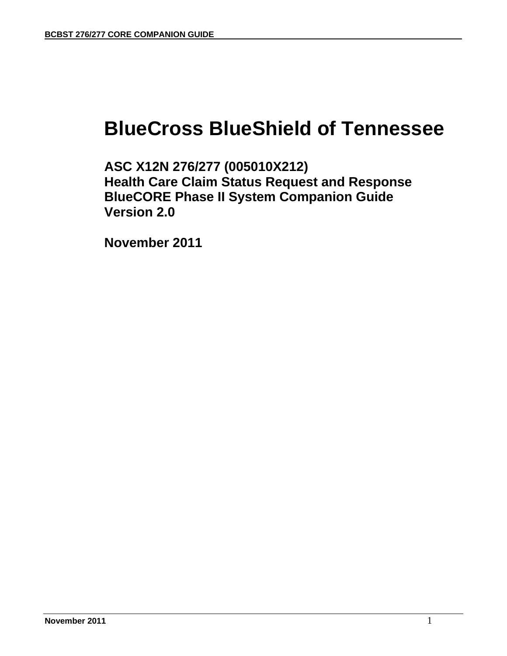# **BlueCross BlueShield of Tennessee**

**ASC X12N 276/277 (005010X212) Health Care Claim Status Request and Response BlueCORE Phase II System Companion Guide Version 2.0** 

 **November 2011**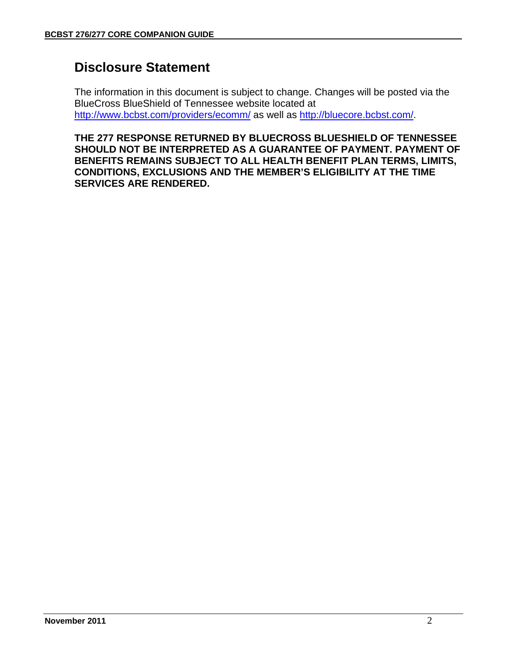## **Disclosure Statement**

The information in this document is subject to change. Changes will be posted via the BlueCross BlueShield of Tennessee website located at http://www.bcbst.com/providers/ecomm/ as well as http://bluecore.bcbst.com/.

**THE 277 RESPONSE RETURNED BY BLUECROSS BLUESHIELD OF TENNESSEE SHOULD NOT BE INTERPRETED AS A GUARANTEE OF PAYMENT. PAYMENT OF BENEFITS REMAINS SUBJECT TO ALL HEALTH BENEFIT PLAN TERMS, LIMITS, CONDITIONS, EXCLUSIONS AND THE MEMBER'S ELIGIBILITY AT THE TIME SERVICES ARE RENDERED.**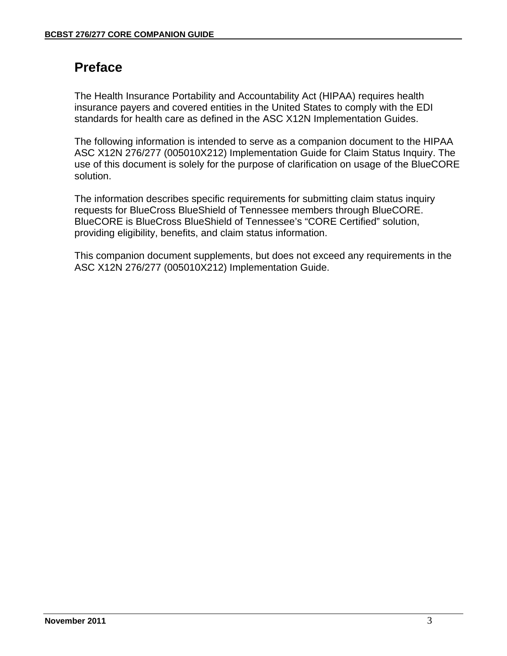# **Preface**

The Health Insurance Portability and Accountability Act (HIPAA) requires health insurance payers and covered entities in the United States to comply with the EDI standards for health care as defined in the ASC X12N Implementation Guides.

The following information is intended to serve as a companion document to the HIPAA ASC X12N 276/277 (005010X212) Implementation Guide for Claim Status Inquiry. The use of this document is solely for the purpose of clarification on usage of the BlueCORE solution.

The information describes specific requirements for submitting claim status inquiry requests for BlueCross BlueShield of Tennessee members through BlueCORE. BlueCORE is BlueCross BlueShield of Tennessee's "CORE Certified" solution, providing eligibility, benefits, and claim status information.

This companion document supplements, but does not exceed any requirements in the ASC X12N 276/277 (005010X212) Implementation Guide.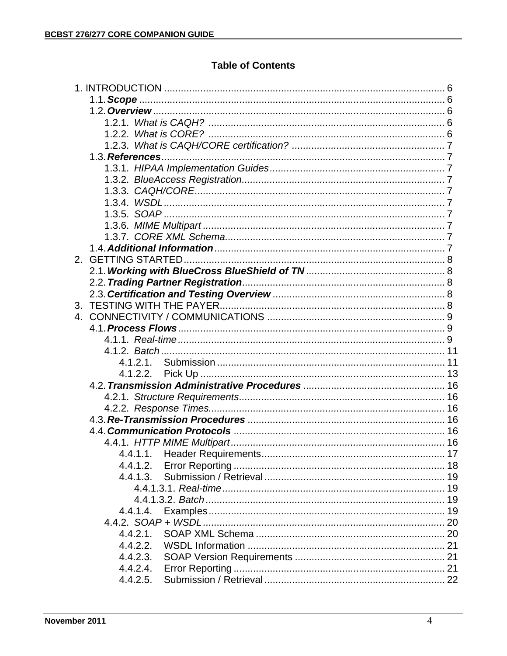### **Table of Contents**

| 2 <sup>2</sup> |          |  |
|----------------|----------|--|
|                |          |  |
|                |          |  |
|                |          |  |
|                |          |  |
| 4 <sup>1</sup> |          |  |
|                |          |  |
|                |          |  |
|                |          |  |
|                |          |  |
|                | 4.1.2.2. |  |
|                |          |  |
|                |          |  |
|                |          |  |
|                |          |  |
|                |          |  |
|                |          |  |
|                |          |  |
|                | 4.4.1.2. |  |
|                | 4.4.1.3. |  |
|                |          |  |
|                |          |  |
|                | 4.4.1.4. |  |
|                |          |  |
|                | 4.4.2.1. |  |
|                | 4.4.2.2. |  |
|                | 4.4.2.3. |  |
|                | 4.4.2.4. |  |
|                | 4.4.2.5. |  |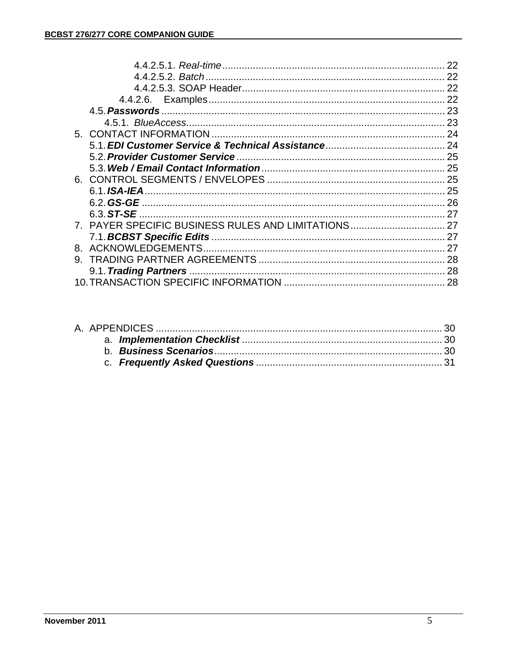|    |                                                     | 22 |
|----|-----------------------------------------------------|----|
|    |                                                     | 22 |
|    |                                                     |    |
|    |                                                     |    |
|    |                                                     |    |
|    |                                                     |    |
|    |                                                     |    |
|    |                                                     |    |
|    |                                                     |    |
|    |                                                     |    |
|    |                                                     |    |
|    |                                                     |    |
|    |                                                     |    |
|    |                                                     |    |
|    | 7. PAYER SPECIFIC BUSINESS RULES AND LIMITATIONS 27 |    |
|    |                                                     |    |
|    |                                                     |    |
| 9. |                                                     |    |
|    |                                                     |    |
|    |                                                     |    |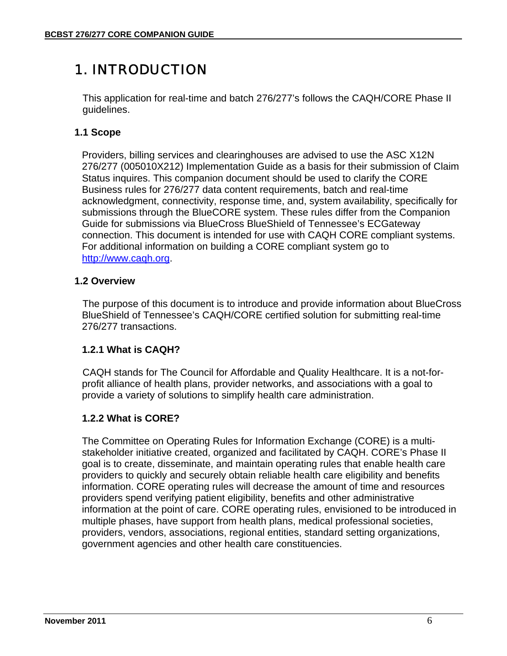# 1. INTRODUCTION

This application for real-time and batch 276/277's follows the CAQH/CORE Phase II guidelines.

### **1.1 Scope**

Providers, billing services and clearinghouses are advised to use the ASC X12N 276/277 (005010X212) Implementation Guide as a basis for their submission of Claim Status inquires. This companion document should be used to clarify the CORE Business rules for 276/277 data content requirements, batch and real-time acknowledgment, connectivity, response time, and, system availability, specifically for submissions through the BlueCORE system. These rules differ from the Companion Guide for submissions via BlueCross BlueShield of Tennessee's ECGateway connection. This document is intended for use with CAQH CORE compliant systems. For additional information on building a CORE compliant system go to http://www.caqh.org.

### **1.2 Overview**

The purpose of this document is to introduce and provide information about BlueCross BlueShield of Tennessee's CAQH/CORE certified solution for submitting real-time 276/277 transactions.

### **1.2.1 What is CAQH?**

CAQH stands for The Council for Affordable and Quality Healthcare. It is a not-forprofit alliance of health plans, provider networks, and associations with a goal to provide a variety of solutions to simplify health care administration.

### **1.2.2 What is CORE?**

The Committee on Operating Rules for Information Exchange (CORE) is a multistakeholder initiative created, organized and facilitated by CAQH. CORE's Phase II goal is to create, disseminate, and maintain operating rules that enable health care providers to quickly and securely obtain reliable health care eligibility and benefits information. CORE operating rules will decrease the amount of time and resources providers spend verifying patient eligibility, benefits and other administrative information at the point of care. CORE operating rules, envisioned to be introduced in multiple phases, have support from health plans, medical professional societies, providers, vendors, associations, regional entities, standard setting organizations, government agencies and other health care constituencies.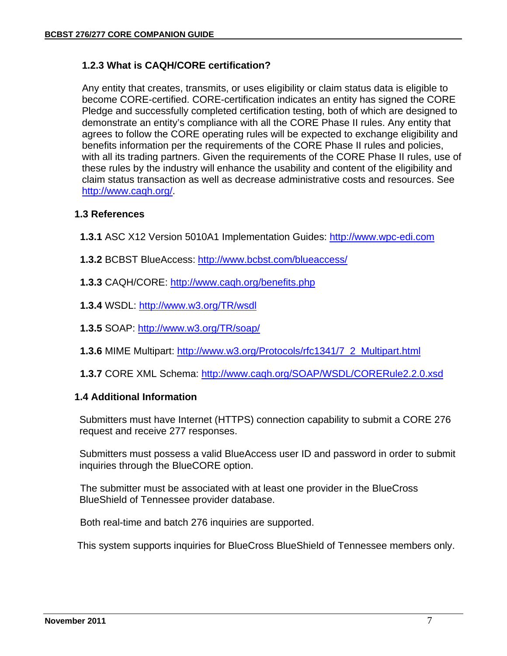### **1.2.3 What is CAQH/CORE certification?**

Any entity that creates, transmits, or uses eligibility or claim status data is eligible to become CORE-certified. CORE-certification indicates an entity has signed the CORE Pledge and successfully completed certification testing, both of which are designed to demonstrate an entity's compliance with all the CORE Phase II rules. Any entity that agrees to follow the CORE operating rules will be expected to exchange eligibility and benefits information per the requirements of the CORE Phase II rules and policies, with all its trading partners. Given the requirements of the CORE Phase II rules, use of these rules by the industry will enhance the usability and content of the eligibility and claim status transaction as well as decrease administrative costs and resources. See http://www.caqh.org/.

#### **1.3 References**

- **1.3.1** ASC X12 Version 5010A1 Implementation Guides: http://www.wpc-edi.com
- **1.3.2** BCBST BlueAccess: http://www.bcbst.com/blueaccess/
- **1.3.3** CAQH/CORE: http://www.caqh.org/benefits.php
- **1.3.4** WSDL: http://www.w3.org/TR/wsdl
- **1.3.5** SOAP: http://www.w3.org/TR/soap/
- **1.3.6** MIME Multipart: http://www.w3.org/Protocols/rfc1341/7\_2\_Multipart.html
- **1.3.7** CORE XML Schema: http://www.caqh.org/SOAP/WSDL/CORERule2.2.0.xsd

#### **1.4 Additional Information**

Submitters must have Internet (HTTPS) connection capability to submit a CORE 276 request and receive 277 responses.

Submitters must possess a valid BlueAccess user ID and password in order to submit inquiries through the BlueCORE option.

The submitter must be associated with at least one provider in the BlueCross BlueShield of Tennessee provider database.

Both real-time and batch 276 inquiries are supported.

This system supports inquiries for BlueCross BlueShield of Tennessee members only.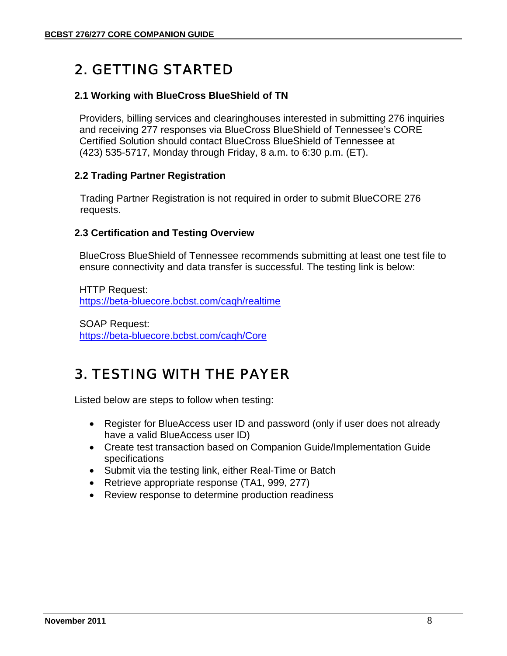# 2. GETTING STARTED

#### **2.1 Working with BlueCross BlueShield of TN**

Providers, billing services and clearinghouses interested in submitting 276 inquiries and receiving 277 responses via BlueCross BlueShield of Tennessee's CORE Certified Solution should contact BlueCross BlueShield of Tennessee at (423) 535-5717, Monday through Friday, 8 a.m. to 6:30 p.m. (ET).

#### **2.2 Trading Partner Registration**

Trading Partner Registration is not required in order to submit BlueCORE 276 requests.

#### **2.3 Certification and Testing Overview**

BlueCross BlueShield of Tennessee recommends submitting at least one test file to ensure connectivity and data transfer is successful. The testing link is below:

HTTP Request: https://beta-bluecore.bcbst.com/caqh/realtime

SOAP Request: https://beta-bluecore.bcbst.com/caqh/Core

# 3. TESTING WITH THE PAYER

Listed below are steps to follow when testing:

- Register for BlueAccess user ID and password (only if user does not already have a valid BlueAccess user ID)
- Create test transaction based on Companion Guide/Implementation Guide specifications
- Submit via the testing link, either Real-Time or Batch
- Retrieve appropriate response (TA1, 999, 277)
- Review response to determine production readiness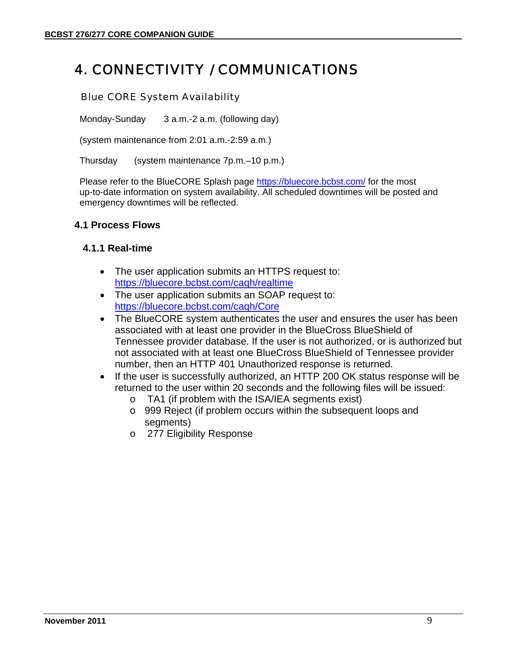# 4. CONNECTIVITY / COMMUNICATIONS

#### Blue CORE System Availability

Monday-Sunday 3 a.m.-2 a.m. (following day)

(system maintenance from 2:01 a.m.-2:59 a.m.)

Thursday (system maintenance 7p.m.–10 p.m.)

Please refer to the BlueCORE Splash page https://bluecore.bcbst.com/ for the most up-to-date information on system availability. All scheduled downtimes will be posted and emergency downtimes will be reflected.

#### **4.1 Process Flows**

#### **4.1.1 Real-time**

- The user application submits an HTTPS request to: https://bluecore.bcbst.com/caqh/realtime
- The user application submits an SOAP request to: https://bluecore.bcbst.com/caqh/Core
- The BlueCORE system authenticates the user and ensures the user has been associated with at least one provider in the BlueCross BlueShield of Tennessee provider database. If the user is not authorized, or is authorized but not associated with at least one BlueCross BlueShield of Tennessee provider number, then an HTTP 401 Unauthorized response is returned.
- If the user is successfully authorized, an HTTP 200 OK status response will be returned to the user within 20 seconds and the following files will be issued:
	- o TA1 (if problem with the ISA/IEA segments exist)
	- o 999 Reject (if problem occurs within the subsequent loops and segments)
	- o 277 Eligibility Response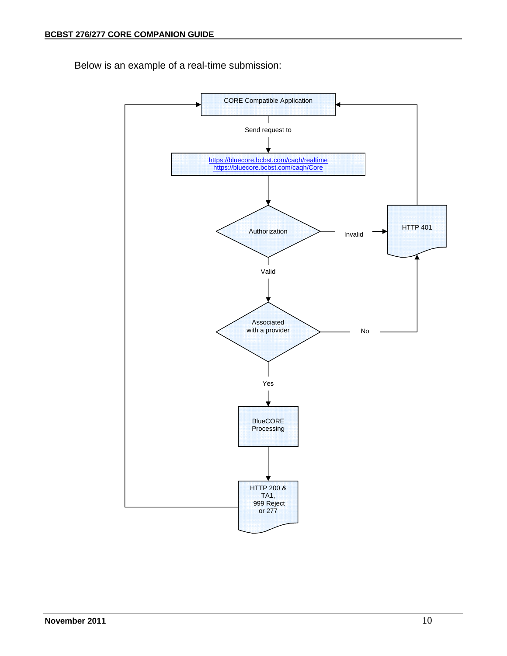Below is an example of a real-time submission:

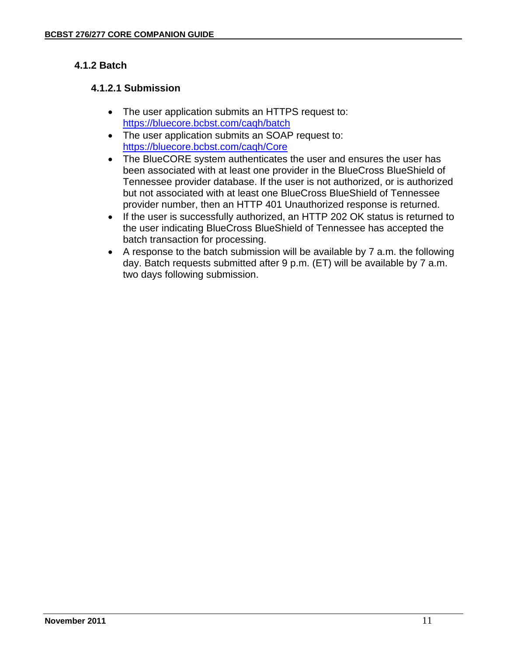### **4.1.2 Batch**

### **4.1.2.1 Submission**

- The user application submits an HTTPS request to: https://bluecore.bcbst.com/caqh/batch
- The user application submits an SOAP request to: https://bluecore.bcbst.com/caqh/Core
- The BlueCORE system authenticates the user and ensures the user has been associated with at least one provider in the BlueCross BlueShield of Tennessee provider database. If the user is not authorized, or is authorized but not associated with at least one BlueCross BlueShield of Tennessee provider number, then an HTTP 401 Unauthorized response is returned.
- If the user is successfully authorized, an HTTP 202 OK status is returned to the user indicating BlueCross BlueShield of Tennessee has accepted the batch transaction for processing.
- A response to the batch submission will be available by 7 a.m. the following day. Batch requests submitted after 9 p.m. (ET) will be available by 7 a.m. two days following submission.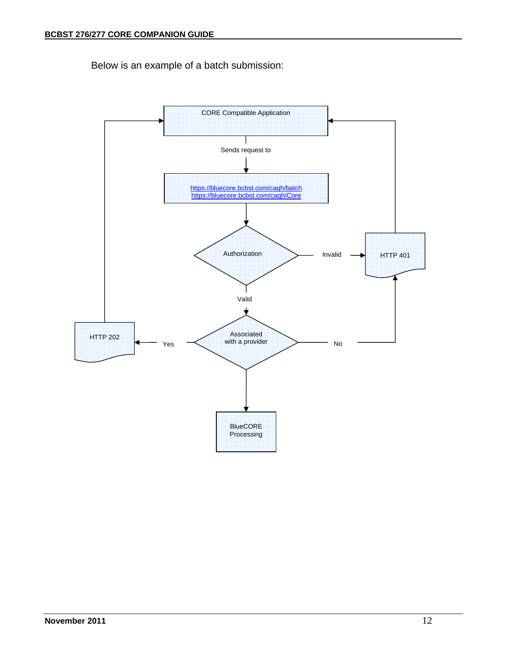Below is an example of a batch submission:

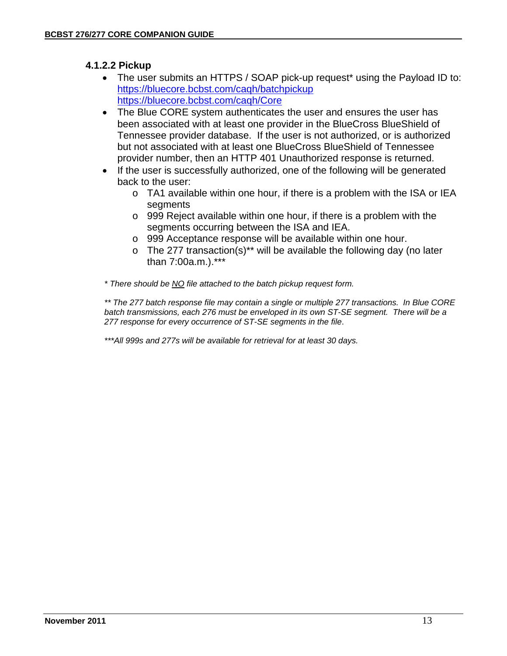### **4.1.2.2 Pickup**

- The user submits an HTTPS / SOAP pick-up request\* using the Payload ID to: https://bluecore.bcbst.com/caqh/batchpickup https://bluecore.bcbst.com/caqh/Core
- The Blue CORE system authenticates the user and ensures the user has been associated with at least one provider in the BlueCross BlueShield of Tennessee provider database. If the user is not authorized, or is authorized but not associated with at least one BlueCross BlueShield of Tennessee provider number, then an HTTP 401 Unauthorized response is returned.
- If the user is successfully authorized, one of the following will be generated back to the user:
	- o TA1 available within one hour, if there is a problem with the ISA or IEA segments
	- o 999 Reject available within one hour, if there is a problem with the segments occurring between the ISA and IEA.
	- o 999 Acceptance response will be available within one hour.
	- $\circ$  The 277 transaction(s)<sup>\*\*</sup> will be available the following day (no later than 7:00a.m.).\*\*\*

*\* There should be NO file attached to the batch pickup request form.* 

*\*\* The 277 batch response file may contain a single or multiple 277 transactions. In Blue CORE batch transmissions, each 276 must be enveloped in its own ST-SE segment. There will be a 277 response for every occurrence of ST-SE segments in the file*.

*\*\*\*All 999s and 277s will be available for retrieval for at least 30 days.*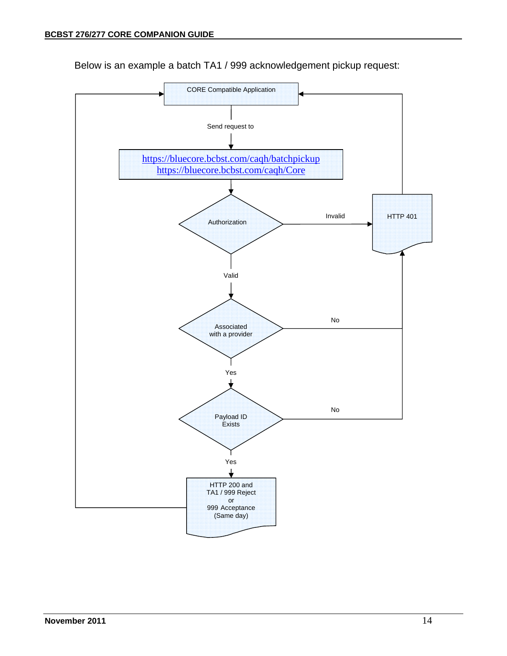

Below is an example a batch TA1 / 999 acknowledgement pickup request: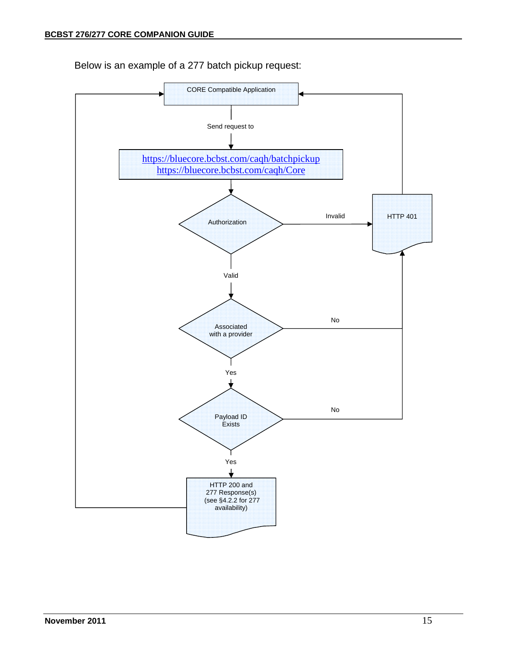

Below is an example of a 277 batch pickup request: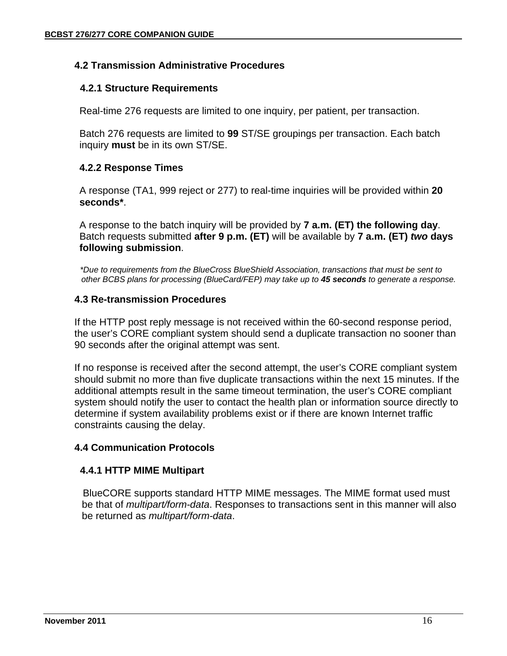#### **4.2 Transmission Administrative Procedures**

#### **4.2.1 Structure Requirements**

Real-time 276 requests are limited to one inquiry, per patient, per transaction.

Batch 276 requests are limited to **99** ST/SE groupings per transaction. Each batch inquiry **must** be in its own ST/SE.

#### **4.2.2 Response Times**

A response (TA1, 999 reject or 277) to real-time inquiries will be provided within **20 seconds\***.

A response to the batch inquiry will be provided by **7 a.m. (ET) the following day**. Batch requests submitted **after 9 p.m. (ET)** will be available by **7 a.m. (ET)** *two* **days following submission**.

 *\*Due to requirements from the BlueCross BlueShield Association, transactions that must be sent to other BCBS plans for processing (BlueCard/FEP) may take up to 45 seconds to generate a response.*

#### **4.3 Re-transmission Procedures**

If the HTTP post reply message is not received within the 60-second response period, the user's CORE compliant system should send a duplicate transaction no sooner than 90 seconds after the original attempt was sent.

If no response is received after the second attempt, the user's CORE compliant system should submit no more than five duplicate transactions within the next 15 minutes. If the additional attempts result in the same timeout termination, the user's CORE compliant system should notify the user to contact the health plan or information source directly to determine if system availability problems exist or if there are known Internet traffic constraints causing the delay.

### **4.4 Communication Protocols**

#### **4.4.1 HTTP MIME Multipart**

BlueCORE supports standard HTTP MIME messages. The MIME format used must be that of *multipart/form-data*. Responses to transactions sent in this manner will also be returned as *multipart/form-data*.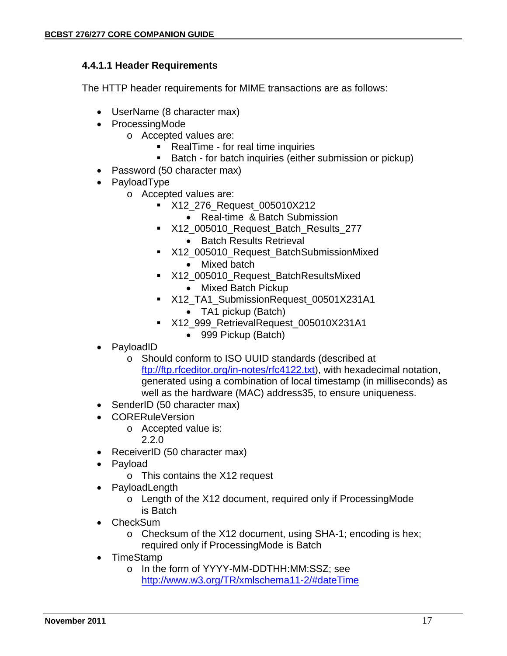#### **4.4.1.1 Header Requirements**

The HTTP header requirements for MIME transactions are as follows:

- UserName (8 character max)
- ProcessingMode
	- o Accepted values are:
		- **RealTime for real time inquiries**
		- **Batch for batch inquiries (either submission or pickup)**
- Password (50 character max)
- PayloadType
	- o Accepted values are:
		- **X12** 276 Request 005010X212
			- Real-time & Batch Submission
		- X12\_005010\_Request\_Batch\_Results\_277
			- Batch Results Retrieval
		- X12\_005010\_Request\_BatchSubmissionMixed
			- Mixed batch
		- X12\_005010\_Request\_BatchResultsMixed • Mixed Batch Pickup
		- X12\_TA1\_SubmissionRequest\_00501X231A1 • TA1 pickup (Batch)
		- X12\_999\_RetrievalRequest\_005010X231A1
			- 999 Pickup (Batch)
- PayloadID
	- o Should conform to ISO UUID standards (described at ftp://ftp.rfceditor.org/in-notes/rfc4122.txt), with hexadecimal notation, generated using a combination of local timestamp (in milliseconds) as well as the hardware (MAC) address35, to ensure uniqueness.
- SenderID (50 character max)
- **CORERuleVersion** 
	- o Accepted value is:
		- 2.2.0
- ReceiverID (50 character max)
- Payload
	- o This contains the X12 request
	- **PayloadLength** 
		- o Length of the X12 document, required only if ProcessingMode is Batch
- CheckSum
	- o Checksum of the X12 document, using SHA-1; encoding is hex; required only if ProcessingMode is Batch
- TimeStamp
	- o In the form of YYYY-MM-DDTHH:MM:SSZ; see http://www.w3.org/TR/xmlschema11-2/#dateTime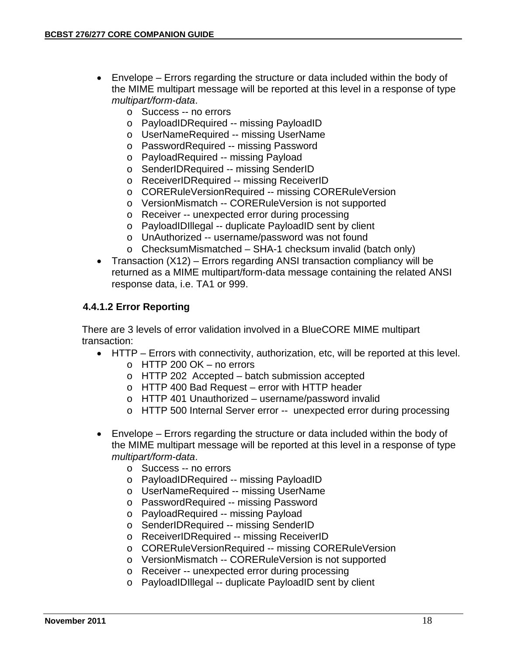- Envelope Errors regarding the structure or data included within the body of the MIME multipart message will be reported at this level in a response of type *multipart/form-data*.
	- o Success -- no errors
	- o PayloadIDRequired -- missing PayloadID
	- o UserNameRequired -- missing UserName
	- o PasswordRequired -- missing Password
	- o PayloadRequired -- missing Payload
	- o SenderIDRequired -- missing SenderID
	- o ReceiverIDRequired -- missing ReceiverID
	- o CORERuleVersionRequired -- missing CORERuleVersion
	- o VersionMismatch -- CORERuleVersion is not supported
	- o Receiver -- unexpected error during processing
	- o PayloadIDIllegal -- duplicate PayloadID sent by client
	- o UnAuthorized -- username/password was not found
	- o ChecksumMismatched SHA-1 checksum invalid (batch only)
- Transaction (X12) Errors regarding ANSI transaction compliancy will be returned as a MIME multipart/form-data message containing the related ANSI response data, i.e. TA1 or 999.

#### **4.4.1.2 Error Reporting**

There are 3 levels of error validation involved in a BlueCORE MIME multipart transaction:

- HTTP Errors with connectivity, authorization, etc, will be reported at this level.
	- $\circ$  HTTP 200 OK no errors
	- o HTTP 202 Accepted batch submission accepted
	- o HTTP 400 Bad Request error with HTTP header
	- o HTTP 401 Unauthorized username/password invalid
	- o HTTP 500 Internal Server error -- unexpected error during processing
- Envelope Errors regarding the structure or data included within the body of the MIME multipart message will be reported at this level in a response of type *multipart/form-data*.
	- o Success -- no errors
	- o PayloadIDRequired -- missing PayloadID
	- o UserNameRequired -- missing UserName
	- o PasswordRequired -- missing Password
	- o PayloadRequired -- missing Payload
	- o SenderIDRequired -- missing SenderID
	- o ReceiverIDRequired -- missing ReceiverID
	- o CORERuleVersionRequired -- missing CORERuleVersion
	- o VersionMismatch -- CORERuleVersion is not supported
	- o Receiver -- unexpected error during processing
	- o PayloadIDIllegal -- duplicate PayloadID sent by client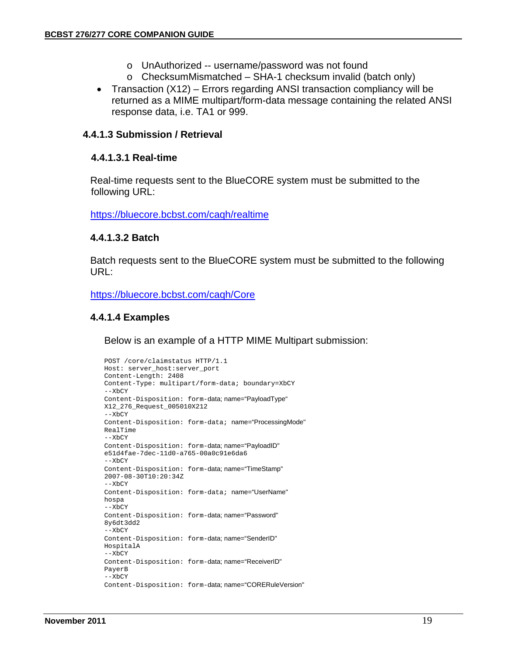- o UnAuthorized -- username/password was not found
- o ChecksumMismatched SHA-1 checksum invalid (batch only)
- Transaction (X12) Errors regarding ANSI transaction compliancy will be returned as a MIME multipart/form-data message containing the related ANSI response data, i.e. TA1 or 999.

#### **4.4.1.3 Submission / Retrieval**

#### **4.4.1.3.1 Real-time**

Real-time requests sent to the BlueCORE system must be submitted to the following URL:

https://bluecore.bcbst.com/caqh/realtime

#### **4.4.1.3.2 Batch**

Batch requests sent to the BlueCORE system must be submitted to the following URL:

https://bluecore.bcbst.com/caqh/Core

#### **4.4.1.4 Examples**

Below is an example of a HTTP MIME Multipart submission:

```
POST /core/claimstatus HTTP/1.1 
Host: server_host:server_port 
Content-Length: 2408 
Content-Type: multipart/form-data; boundary=XbCY 
--XbCY 
Content-Disposition: form-data; name="PayloadType" 
X12_276_Request_005010X212 
-xhyContent-Disposition: form-data; name="ProcessingMode" 
RealTime 
--XbCY 
Content-Disposition: form-data; name="PayloadID" 
e51d4fae-7dec-11d0-a765-00a0c91e6da6 
--XbCY 
Content-Disposition: form-data; name="TimeStamp" 
2007-08-30T10:20:34Z 
--XbCY 
Content-Disposition: form-data; name="UserName" 
hospa 
--XbCY 
Content-Disposition: form-data; name="Password" 
8y6dt3dd2 
-XbCYContent-Disposition: form-data; name="SenderID" 
HospitalA 
-XbCYContent-Disposition: form-data; name="ReceiverID" 
PayerB 
--XbCY 
Content-Disposition: form-data; name="CORERuleVersion"
```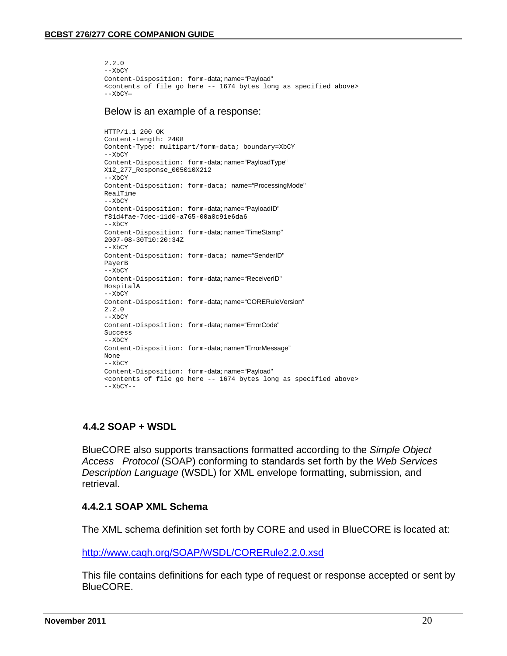```
2.2.0 
--XbCY 
Content-Disposition: form-data; name="Payload" 
<contents of file go here -- 1674 bytes long as specified above> 
--XbCY—
```
#### Below is an example of a response:

```
HTTP/1.1 200 OK 
Content-Length: 2408 
Content-Type: multipart/form-data; boundary=XbCY 
--XbCY 
Content-Disposition: form-data; name="PayloadType" 
X12_277_Response_005010X212 
-x-x-yContent-Disposition: form-data; name="ProcessingMode" 
RealTime 
 --XbCY 
Content-Disposition: form-data; name="PayloadID" 
f81d4fae-7dec-11d0-a765-00a0c91e6da6 
-XCYContent-Disposition: form-data; name="TimeStamp" 
2007-08-30T10:20:34Z 
--XbCY 
Content-Disposition: form-data; name="SenderID" 
PayerB 
--XbCY 
Content-Disposition: form-data; name="ReceiverID" 
HospitalA 
--XbCY 
Content-Disposition: form-data; name="CORERuleVersion" 
2.2.0 
-XbCYContent-Disposition: form-data; name="ErrorCode" 
Success 
-XCYContent-Disposition: form-data; name="ErrorMessage" 
None 
-x<sub>b</sub>cyContent-Disposition: form-data; name="Payload" 
<contents of file go here -- 1674 bytes long as specified above> 
-XbCY-
```
#### **4.4.2 SOAP + WSDL**

BlueCORE also supports transactions formatted according to the *Simple Object Access Protocol* (SOAP) conforming to standards set forth by the *Web Services Description Language* (WSDL) for XML envelope formatting, submission, and retrieval.

#### **4.4.2.1 SOAP XML Schema**

The XML schema definition set forth by CORE and used in BlueCORE is located at:

http://www.caqh.org/SOAP/WSDL/CORERule2.2.0.xsd

This file contains definitions for each type of request or response accepted or sent by BlueCORE.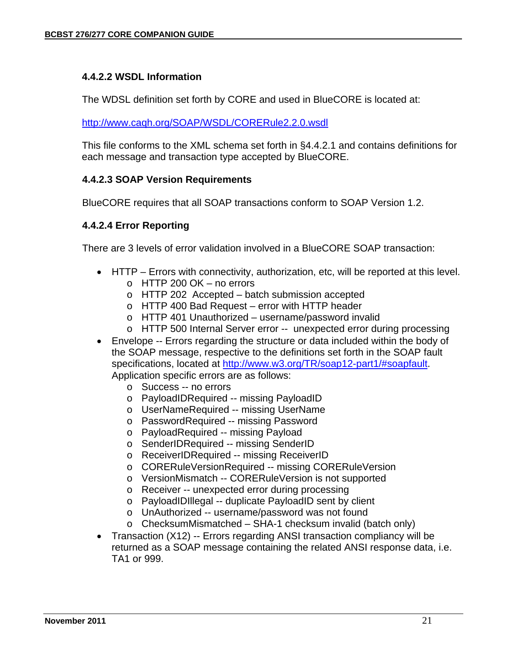#### **4.4.2.2 WSDL Information**

The WDSL definition set forth by CORE and used in BlueCORE is located at:

http://www.caqh.org/SOAP/WSDL/CORERule2.2.0.wsdl

This file conforms to the XML schema set forth in §4.4.2.1 and contains definitions for each message and transaction type accepted by BlueCORE.

#### **4.4.2.3 SOAP Version Requirements**

BlueCORE requires that all SOAP transactions conform to SOAP Version 1.2.

#### **4.4.2.4 Error Reporting**

There are 3 levels of error validation involved in a BlueCORE SOAP transaction:

- HTTP Errors with connectivity, authorization, etc, will be reported at this level.
	- $\circ$  HTTP 200 OK no errors
	- o HTTP 202 Accepted batch submission accepted
	- o HTTP 400 Bad Request error with HTTP header
	- o HTTP 401 Unauthorized username/password invalid
	- o HTTP 500 Internal Server error -- unexpected error during processing
- Envelope -- Errors regarding the structure or data included within the body of the SOAP message, respective to the definitions set forth in the SOAP fault specifications, located at http://www.w3.org/TR/soap12-part1/#soapfault. Application specific errors are as follows:
	- o Success -- no errors
	- o PayloadIDRequired -- missing PayloadID
	- o UserNameRequired -- missing UserName
	- o PasswordRequired -- missing Password
	- o PayloadRequired -- missing Payload
	- o SenderIDRequired -- missing SenderID
	- o ReceiverIDRequired -- missing ReceiverID
	- o CORERuleVersionRequired -- missing CORERuleVersion
	- o VersionMismatch -- CORERuleVersion is not supported
	- o Receiver -- unexpected error during processing
	- o PayloadIDIllegal -- duplicate PayloadID sent by client
	- o UnAuthorized -- username/password was not found
	- o ChecksumMismatched SHA-1 checksum invalid (batch only)
- Transaction (X12) -- Errors regarding ANSI transaction compliancy will be returned as a SOAP message containing the related ANSI response data, i.e. TA1 or 999.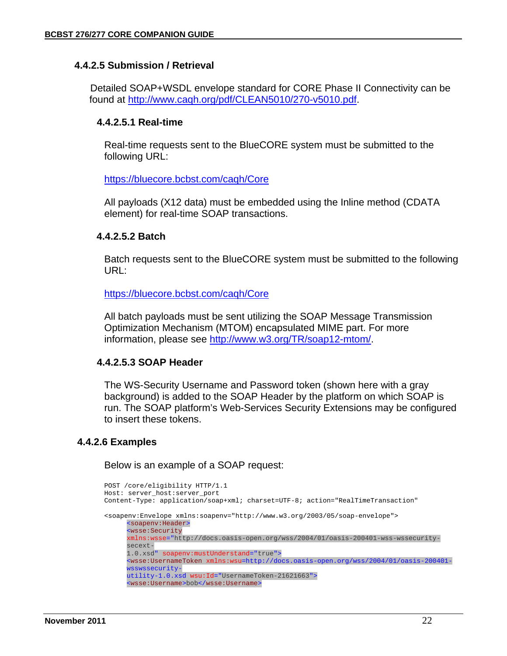#### **4.4.2.5 Submission / Retrieval**

 Detailed SOAP+WSDL envelope standard for CORE Phase II Connectivity can be found at http://www.caqh.org/pdf/CLEAN5010/270-v5010.pdf.

#### **4.4.2.5.1 Real-time**

Real-time requests sent to the BlueCORE system must be submitted to the following URL:

https://bluecore.bcbst.com/caqh/Core

All payloads (X12 data) must be embedded using the Inline method (CDATA element) for real-time SOAP transactions.

#### **4.4.2.5.2 Batch**

Batch requests sent to the BlueCORE system must be submitted to the following URL:

https://bluecore.bcbst.com/caqh/Core

All batch payloads must be sent utilizing the SOAP Message Transmission Optimization Mechanism (MTOM) encapsulated MIME part. For more information, please see http://www.w3.org/TR/soap12-mtom/.

#### **4.4.2.5.3 SOAP Header**

The WS-Security Username and Password token (shown here with a gray background) is added to the SOAP Header by the platform on which SOAP is run. The SOAP platform's Web-Services Security Extensions may be configured to insert these tokens.

#### **4.4.2.6 Examples**

Below is an example of a SOAP request:

```
POST /core/eligibility HTTP/1.1 
Host: server_host:server_port 
Content-Type: application/soap+xml; charset=UTF-8; action="RealTimeTransaction" 
<soapenv:Envelope xmlns:soapenv="http://www.w3.org/2003/05/soap-envelope"> 
      <soapenv:Header> 
      <wsse:Security 
      xmlns:wsse="http://docs.oasis-open.org/wss/2004/01/oasis-200401-wss-wssecurity-
      secext-
      1.0.xsd" soapenv:mustUnderstand="true"> 
      <wsse:UsernameToken xmlns:wsu=http://docs.oasis-open.org/wss/2004/01/oasis-200401-
      wsswssecurity-
      utility-1.0.xsd wsu:Id="UsernameToken-21621663"> 
      <wsse:Username>bob</wsse:Username>
```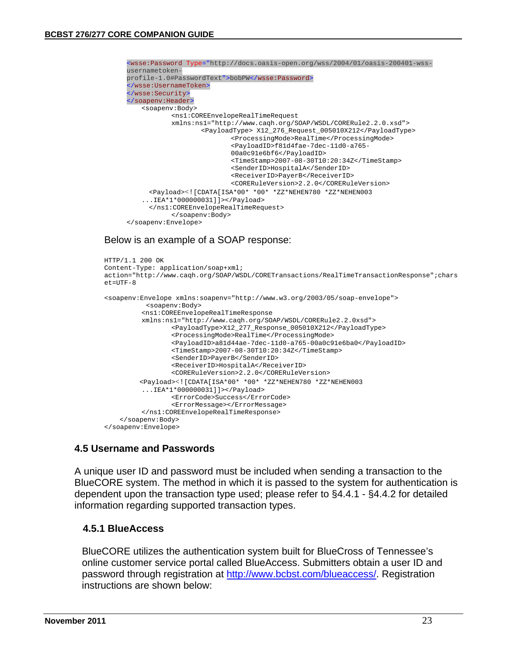```
<wsse:Password Type="http://docs.oasis-open.org/wss/2004/01/oasis-200401-wss-
usernametoken-
profile-1.0#PasswordText">bobPW</wsse:Password> 
</wsse:UsernameToken> 
</wsse:Security> 
</soapenv:Header> 
   <soapenv:Body> 
           <ns1:COREEnvelopeRealTimeRequest 
           xmlns:ns1="http://www.caqh.org/SOAP/WSDL/CORERule2.2.0.xsd"> 
                   <PayloadType> X12_276_Request_005010X212</PayloadType> 
                           <ProcessingMode>RealTime</ProcessingMode> 
                           <PayloadID>f81d4fae-7dec-11d0-a765-
                           00a0c91e6bf6</PayloadID> 
                           <TimeStamp>2007-08-30T10:20:34Z</TimeStamp> 
                           <SenderID>HospitalA</SenderID> 
                           <ReceiverID>PayerB</ReceiverID> 
                           <CORERuleVersion>2.2.0</CORERuleVersion> 
     <Payload><![CDATA[ISA*00* *00* *ZZ*NEHEN780 *ZZ*NEHEN003 
    ...IEA*1*000000031]]></Payload> 
     </ns1:COREEnvelopeRealTimeRequest> 
           </soapenv:Body> 
</soapenv:Envelope>
```
#### Below is an example of a SOAP response:

```
HTTP/1.1 200 OK 
Content-Type: application/soap+xml; 
action="http://www.caqh.org/SOAP/WSDL/CORETransactions/RealTimeTransactionResponse";chars
e^+=UTF-8
<soapenv:Envelope xmlns:soapenv="http://www.w3.org/2003/05/soap-envelope"> 
            <soapenv:Body> 
          <ns1:COREEnvelopeRealTimeResponse 
         xmlns:ns1="http://www.caqh.org/SOAP/WSDL/CORERule2.2.0xsd"> 
                 <PayloadType>X12_277_Response_005010X212</PayloadType> 
                 <ProcessingMode>RealTime</ProcessingMode> 
                 <PayloadID>a81d44ae-7dec-11d0-a765-00a0c91e6ba0</PayloadID> 
                 <TimeStamp>2007-08-30T10:20:34Z</TimeStamp> 
                 <SenderID>PayerB</SenderID> 
                 <ReceiverID>HospitalA</ReceiverID> 
                 <CORERuleVersion>2.2.0</CORERuleVersion> 
          <Payload><![CDATA[ISA*00* *00* *ZZ*NEHEN780 *ZZ*NEHEN003 
         ...IEA*1*000000031]]></Payload> 
                 <ErrorCode>Success</ErrorCode> 
                 <ErrorMessage></ErrorMessage> 
         </ns1:COREEnvelopeRealTimeResponse> 
     </soapenv:Body> 
</soapenv:Envelope>
```
#### **4.5 Username and Passwords**

A unique user ID and password must be included when sending a transaction to the BlueCORE system. The method in which it is passed to the system for authentication is dependent upon the transaction type used; please refer to §4.4.1 - §4.4.2 for detailed information regarding supported transaction types.

#### **4.5.1 BlueAccess**

BlueCORE utilizes the authentication system built for BlueCross of Tennessee's online customer service portal called BlueAccess. Submitters obtain a user ID and password through registration at http://www.bcbst.com/blueaccess/. Registration instructions are shown below: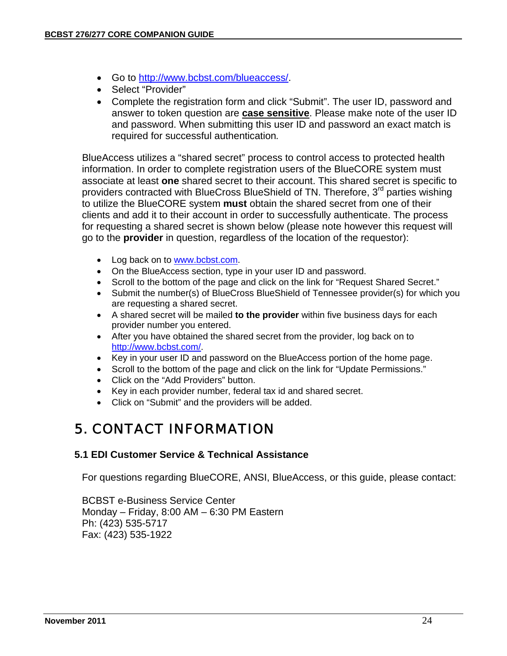- Go to http://www.bcbst.com/blueaccess/.
- Select "Provider"
- Complete the registration form and click "Submit". The user ID, password and answer to token question are **case sensitive**. Please make note of the user ID and password. When submitting this user ID and password an exact match is required for successful authentication*.*

 BlueAccess utilizes a "shared secret" process to control access to protected health information. In order to complete registration users of the BlueCORE system must associate at least **one** shared secret to their account. This shared secret is specific to providers contracted with BlueCross BlueShield of TN. Therefore, 3<sup>rd</sup> parties wishing to utilize the BlueCORE system **must** obtain the shared secret from one of their clients and add it to their account in order to successfully authenticate. The process for requesting a shared secret is shown below (please note however this request will go to the **provider** in question, regardless of the location of the requestor):

- Log back on to www.bcbst.com.
- On the BlueAccess section, type in your user ID and password.
- Scroll to the bottom of the page and click on the link for "Request Shared Secret."
- Submit the number(s) of BlueCross BlueShield of Tennessee provider(s) for which you are requesting a shared secret.
- A shared secret will be mailed **to the provider** within five business days for each provider number you entered.
- After you have obtained the shared secret from the provider, log back on to http://www.bcbst.com/.
- Key in your user ID and password on the BlueAccess portion of the home page.
- Scroll to the bottom of the page and click on the link for "Update Permissions."
- Click on the "Add Providers" button.
- Key in each provider number, federal tax id and shared secret.
- Click on "Submit" and the providers will be added.

# 5. CONTACT INFORMATION

### **5.1 EDI Customer Service & Technical Assistance**

For questions regarding BlueCORE, ANSI, BlueAccess, or this guide, please contact:

BCBST e-Business Service Center Monday – Friday, 8:00 AM – 6:30 PM Eastern Ph: (423) 535-5717 Fax: (423) 535-1922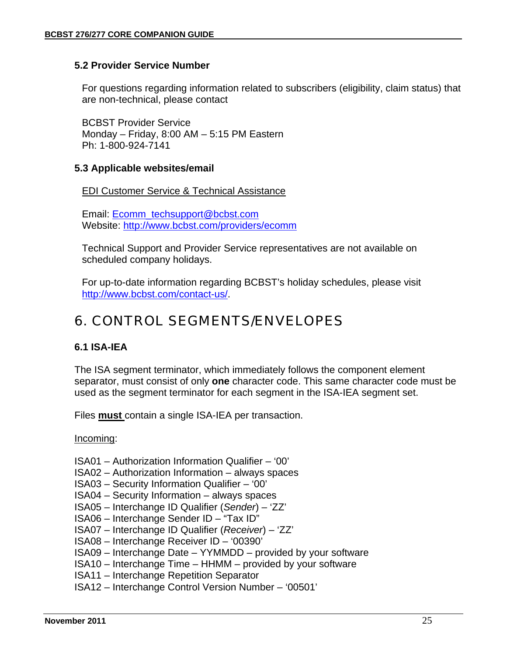#### **5.2 Provider Service Number**

For questions regarding information related to subscribers (eligibility, claim status) that are non-technical, please contact

BCBST Provider Service Monday – Friday, 8:00 AM – 5:15 PM Eastern Ph: 1-800-924-7141

#### **5.3 Applicable websites/email**

EDI Customer Service & Technical Assistance

Email: Ecomm\_techsupport@bcbst.com Website: http://www.bcbst.com/providers/ecomm

Technical Support and Provider Service representatives are not available on scheduled company holidays.

For up-to-date information regarding BCBST's holiday schedules, please visit http://www.bcbst.com/contact-us/.

### 6. CONTROL SEGMENTS/ENVELOPES

#### **6.1 ISA-IEA**

The ISA segment terminator, which immediately follows the component element separator, must consist of only **one** character code. This same character code must be used as the segment terminator for each segment in the ISA-IEA segment set.

Files **must** contain a single ISA-IEA per transaction.

#### Incoming:

- ISA01 Authorization Information Qualifier '00'
- ISA02 Authorization Information always spaces
- ISA03 Security Information Qualifier '00'
- ISA04 Security Information always spaces
- ISA05 Interchange ID Qualifier (*Sender*) 'ZZ'
- ISA06 Interchange Sender ID "Tax ID"
- ISA07 Interchange ID Qualifier (*Receiver*) 'ZZ'
- ISA08 Interchange Receiver ID '00390'
- ISA09 Interchange Date YYMMDD provided by your software
- ISA10 Interchange Time HHMM provided by your software
- ISA11 Interchange Repetition Separator
- ISA12 Interchange Control Version Number '00501'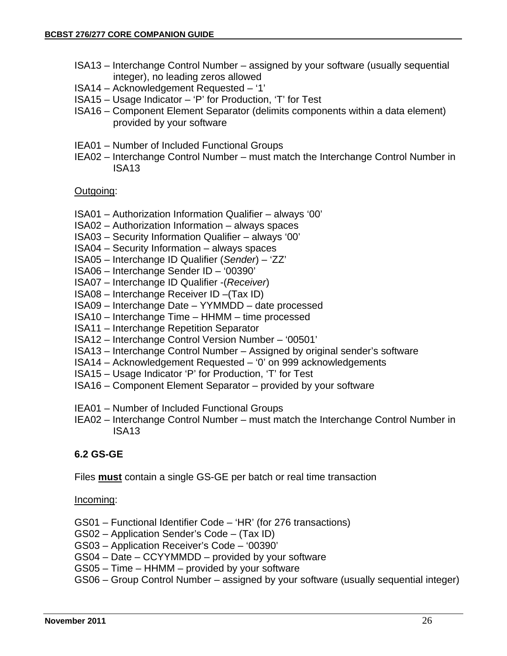- ISA13 Interchange Control Number assigned by your software (usually sequential integer), no leading zeros allowed
- ISA14 Acknowledgement Requested '1'
- ISA15 Usage Indicator 'P' for Production, 'T' for Test
- ISA16 Component Element Separator (delimits components within a data element) provided by your software
- IEA01 Number of Included Functional Groups
- IEA02 Interchange Control Number must match the Interchange Control Number in ISA13

#### Outgoing:

- ISA01 Authorization Information Qualifier always '00'
- ISA02 Authorization Information always spaces
- ISA03 Security Information Qualifier always '00'
- ISA04 Security Information always spaces
- ISA05 Interchange ID Qualifier (*Sender*) 'ZZ'
- ISA06 Interchange Sender ID '00390'
- ISA07 Interchange ID Qualifier -(*Receiver*)
- ISA08 Interchange Receiver ID –(Tax ID)
- ISA09 Interchange Date YYMMDD date processed
- ISA10 Interchange Time HHMM time processed
- ISA11 Interchange Repetition Separator
- ISA12 Interchange Control Version Number '00501'
- ISA13 Interchange Control Number Assigned by original sender's software
- ISA14 Acknowledgement Requested '0' on 999 acknowledgements
- ISA15 Usage Indicator 'P' for Production, 'T' for Test
- ISA16 Component Element Separator provided by your software
- IEA01 Number of Included Functional Groups
- IEA02 Interchange Control Number must match the Interchange Control Number in ISA13

#### **6.2 GS-GE**

Files **must** contain a single GS-GE per batch or real time transaction

#### Incoming:

- GS01 Functional Identifier Code 'HR' (for 276 transactions)
- GS02 Application Sender's Code (Tax ID)
- GS03 Application Receiver's Code '00390'
- GS04 Date CCYYMMDD provided by your software
- GS05 Time HHMM provided by your software
- GS06 Group Control Number assigned by your software (usually sequential integer)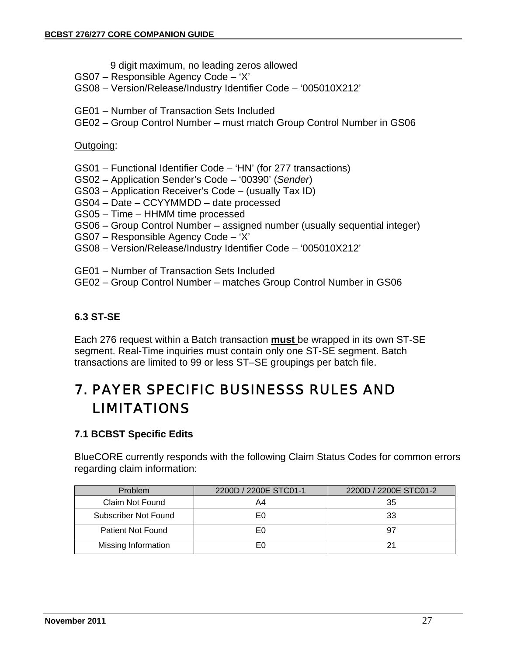- 9 digit maximum, no leading zeros allowed
- GS07 Responsible Agency Code 'X'
- GS08 Version/Release/Industry Identifier Code '005010X212'
- GE01 Number of Transaction Sets Included
- GE02 Group Control Number must match Group Control Number in GS06

#### Outgoing:

- GS01 Functional Identifier Code 'HN' (for 277 transactions)
- GS02 Application Sender's Code '00390' (*Sender*)
- GS03 Application Receiver's Code (usually Tax ID)
- GS04 Date CCYYMMDD date processed
- GS05 Time HHMM time processed
- GS06 Group Control Number assigned number (usually sequential integer)
- GS07 Responsible Agency Code 'X'
- GS08 Version/Release/Industry Identifier Code '005010X212'
- GE01 Number of Transaction Sets Included
- GE02 Group Control Number matches Group Control Number in GS06

#### **6.3 ST-SE**

Each 276 request within a Batch transaction **must** be wrapped in its own ST-SE segment. Real-Time inquiries must contain only one ST-SE segment. Batch transactions are limited to 99 or less ST–SE groupings per batch file.

# 7. PAYER SPECIFIC BUSINESSS RULES AND LIMITATIONS

### **7.1 BCBST Specific Edits**

BlueCORE currently responds with the following Claim Status Codes for common errors regarding claim information:

| <b>Problem</b>           | 2200D / 2200E STC01-1 | 2200D / 2200E STC01-2 |
|--------------------------|-----------------------|-----------------------|
| Claim Not Found          | A4                    | 35                    |
| Subscriber Not Found     | E٥                    | 33                    |
| <b>Patient Not Found</b> | E٥                    | 97                    |
| Missing Information      | E٥                    | 21                    |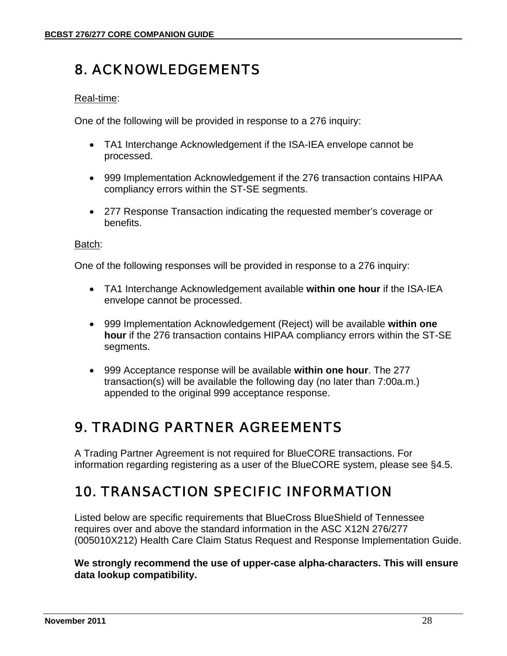# 8. ACKNOWLEDGEMENTS

#### Real-time:

One of the following will be provided in response to a 276 inquiry:

- TA1 Interchange Acknowledgement if the ISA-IEA envelope cannot be processed.
- 999 Implementation Acknowledgement if the 276 transaction contains HIPAA compliancy errors within the ST-SE segments.
- 277 Response Transaction indicating the requested member's coverage or benefits.

#### Batch:

One of the following responses will be provided in response to a 276 inquiry:

- TA1 Interchange Acknowledgement available **within one hour** if the ISA-IEA envelope cannot be processed.
- 999 Implementation Acknowledgement (Reject) will be available **within one hour** if the 276 transaction contains HIPAA compliancy errors within the ST-SE segments.
- 999 Acceptance response will be available **within one hour**. The 277 transaction(s) will be available the following day (no later than 7:00a.m.) appended to the original 999 acceptance response.

# 9. TRADING PARTNER AGREEMENTS

A Trading Partner Agreement is not required for BlueCORE transactions. For information regarding registering as a user of the BlueCORE system, please see §4.5.

# 10. TRANSACTION SPECIFIC INFORMATION

Listed below are specific requirements that BlueCross BlueShield of Tennessee requires over and above the standard information in the ASC X12N 276/277 (005010X212) Health Care Claim Status Request and Response Implementation Guide.

**We strongly recommend the use of upper-case alpha-characters. This will ensure data lookup compatibility.**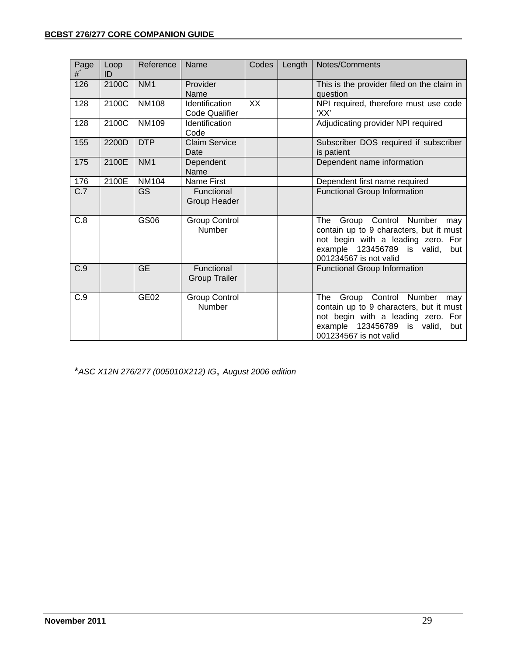| Page<br># | Loop<br>ID | Reference        | Name                                    | Codes     | Length | Notes/Comments                                                                                                                                                                      |
|-----------|------------|------------------|-----------------------------------------|-----------|--------|-------------------------------------------------------------------------------------------------------------------------------------------------------------------------------------|
| 126       | 2100C      | NM <sub>1</sub>  | Provider<br>Name                        |           |        | This is the provider filed on the claim in<br>question                                                                                                                              |
| 128       | 2100C      | <b>NM108</b>     | Identification<br><b>Code Qualifier</b> | <b>XX</b> |        | NPI required, therefore must use code<br>'XX'                                                                                                                                       |
| 128       | 2100C      | <b>NM109</b>     | Identification<br>Code                  |           |        | Adjudicating provider NPI required                                                                                                                                                  |
| 155       | 2200D      | <b>DTP</b>       | <b>Claim Service</b><br>Date            |           |        | Subscriber DOS required if subscriber<br>is patient                                                                                                                                 |
| 175       | 2100E      | NM <sub>1</sub>  | Dependent<br>Name                       |           |        | Dependent name information                                                                                                                                                          |
| 176       | 2100E      | <b>NM104</b>     | <b>Name First</b>                       |           |        | Dependent first name required                                                                                                                                                       |
| C.7       |            | GS               | Functional<br>Group Header              |           |        | <b>Functional Group Information</b>                                                                                                                                                 |
| C.8       |            | GS06             | <b>Group Control</b><br>Number          |           |        | The<br>Group Control Number<br>may<br>contain up to 9 characters, but it must<br>not begin with a leading zero. For<br>example 123456789 is valid,<br>but<br>001234567 is not valid |
| C.9       |            | <b>GE</b>        | Functional<br><b>Group Trailer</b>      |           |        | <b>Functional Group Information</b>                                                                                                                                                 |
| C.9       |            | GE <sub>02</sub> | <b>Group Control</b><br><b>Number</b>   |           |        | The Group Control Number<br>may<br>contain up to 9 characters, but it must<br>not begin with a leading zero. For<br>example 123456789<br>is valid,<br>but<br>001234567 is not valid |

\**ASC X12N 276/277 (005010X212) IG*, *August 2006 edition*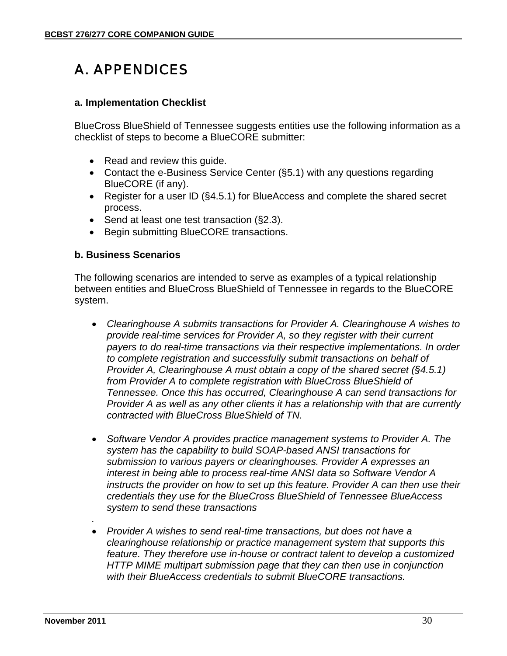# A. APPENDICES

#### **a. Implementation Checklist**

BlueCross BlueShield of Tennessee suggests entities use the following information as a checklist of steps to become a BlueCORE submitter:

- Read and review this quide.
- Contact the e-Business Service Center (§5.1) with any questions regarding BlueCORE (if any).
- Register for a user ID (§4.5.1) for BlueAccess and complete the shared secret process.
- Send at least one test transaction (§2.3).
- Begin submitting BlueCORE transactions.

#### **b. Business Scenarios**

The following scenarios are intended to serve as examples of a typical relationship between entities and BlueCross BlueShield of Tennessee in regards to the BlueCORE system.

- *Clearinghouse A submits transactions for Provider A. Clearinghouse A wishes to provide real-time services for Provider A, so they register with their current payers to do real-time transactions via their respective implementations. In order to complete registration and successfully submit transactions on behalf of Provider A, Clearinghouse A must obtain a copy of the shared secret (§4.5.1) from Provider A to complete registration with BlueCross BlueShield of Tennessee. Once this has occurred, Clearinghouse A can send transactions for Provider A as well as any other clients it has a relationship with that are currently contracted with BlueCross BlueShield of TN.*
- *Software Vendor A provides practice management systems to Provider A. The system has the capability to build SOAP-based ANSI transactions for submission to various payers or clearinghouses. Provider A expresses an interest in being able to process real-time ANSI data so Software Vendor A instructs the provider on how to set up this feature. Provider A can then use their credentials they use for the BlueCross BlueShield of Tennessee BlueAccess system to send these transactions*
- *Provider A wishes to send real-time transactions, but does not have a clearinghouse relationship or practice management system that supports this feature. They therefore use in-house or contract talent to develop a customized HTTP MIME multipart submission page that they can then use in conjunction with their BlueAccess credentials to submit BlueCORE transactions.*

*.*